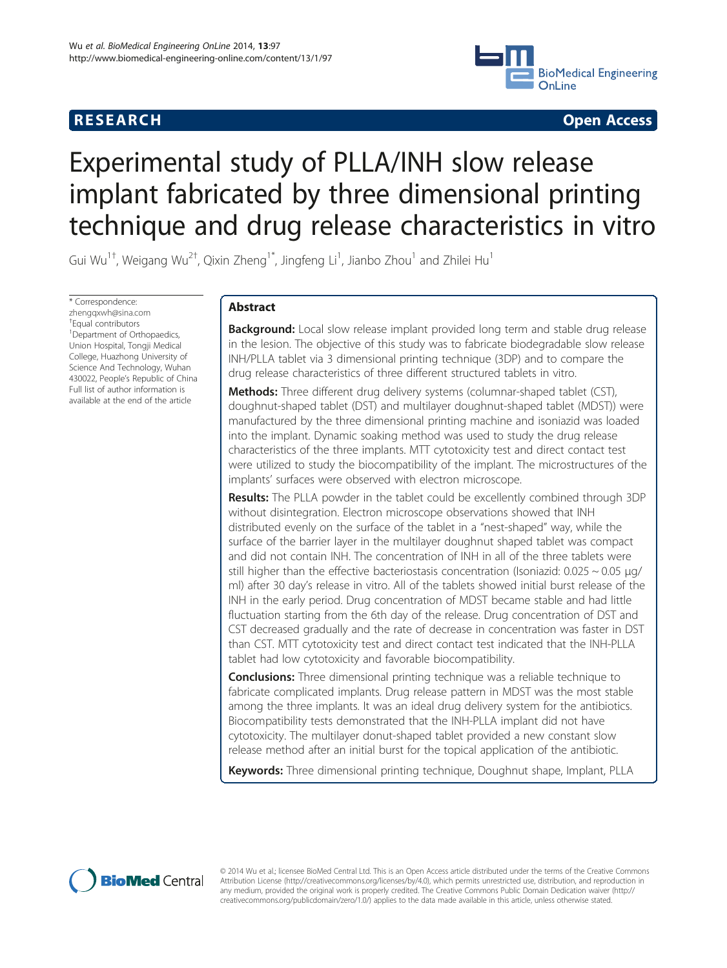# **RESEARCH CHINESE ARCH CHINESE ARCH CHINESE ARCH <b>CHINESE ARCH**



# Experimental study of PLLA/INH slow release implant fabricated by three dimensional printing technique and drug release characteristics in vitro

Gui Wu $^{1\dagger}$ , Weigang Wu $^{2\dagger}$ , Qixin Zheng $^{1^\ast}$ , Jingfeng Li $^1$ , Jianbo Zhou $^1$  and Zhilei Hu $^1$ 

\* Correspondence: [zhengqxwh@sina.com](mailto:zhengqxwh@sina.com) † Equal contributors <sup>1</sup> Department of Orthopaedics, Union Hospital, Tongji Medical College, Huazhong University of Science And Technology, Wuhan 430022, People's Republic of China Full list of author information is available at the end of the article

# Abstract

**Background:** Local slow release implant provided long term and stable drug release in the lesion. The objective of this study was to fabricate biodegradable slow release INH/PLLA tablet via 3 dimensional printing technique (3DP) and to compare the drug release characteristics of three different structured tablets in vitro.

Methods: Three different drug delivery systems (columnar-shaped tablet (CST), doughnut-shaped tablet (DST) and multilayer doughnut-shaped tablet (MDST)) were manufactured by the three dimensional printing machine and isoniazid was loaded into the implant. Dynamic soaking method was used to study the drug release characteristics of the three implants. MTT cytotoxicity test and direct contact test were utilized to study the biocompatibility of the implant. The microstructures of the implants' surfaces were observed with electron microscope.

Results: The PLLA powder in the tablet could be excellently combined through 3DP without disintegration. Electron microscope observations showed that INH distributed evenly on the surface of the tablet in a "nest-shaped" way, while the surface of the barrier layer in the multilayer doughnut shaped tablet was compact and did not contain INH. The concentration of INH in all of the three tablets were still higher than the effective bacteriostasis concentration (Isoniazid:  $0.025 \sim 0.05$  µg/ ml) after 30 day's release in vitro. All of the tablets showed initial burst release of the INH in the early period. Drug concentration of MDST became stable and had little fluctuation starting from the 6th day of the release. Drug concentration of DST and CST decreased gradually and the rate of decrease in concentration was faster in DST than CST. MTT cytotoxicity test and direct contact test indicated that the INH-PLLA tablet had low cytotoxicity and favorable biocompatibility.

**Conclusions:** Three dimensional printing technique was a reliable technique to fabricate complicated implants. Drug release pattern in MDST was the most stable among the three implants. It was an ideal drug delivery system for the antibiotics. Biocompatibility tests demonstrated that the INH-PLLA implant did not have cytotoxicity. The multilayer donut-shaped tablet provided a new constant slow release method after an initial burst for the topical application of the antibiotic.

Keywords: Three dimensional printing technique, Doughnut shape, Implant, PLLA



© 2014 Wu et al.; licensee BioMed Central Ltd. This is an Open Access article distributed under the terms of the Creative Commons Attribution License (<http://creativecommons.org/licenses/by/4.0>), which permits unrestricted use, distribution, and reproduction in any medium, provided the original work is properly credited. The Creative Commons Public Domain Dedication waiver [\(http://](http://creativecommons.org/publicdomain/zero/1.0/) [creativecommons.org/publicdomain/zero/1.0/\)](http://creativecommons.org/publicdomain/zero/1.0/) applies to the data made available in this article, unless otherwise stated.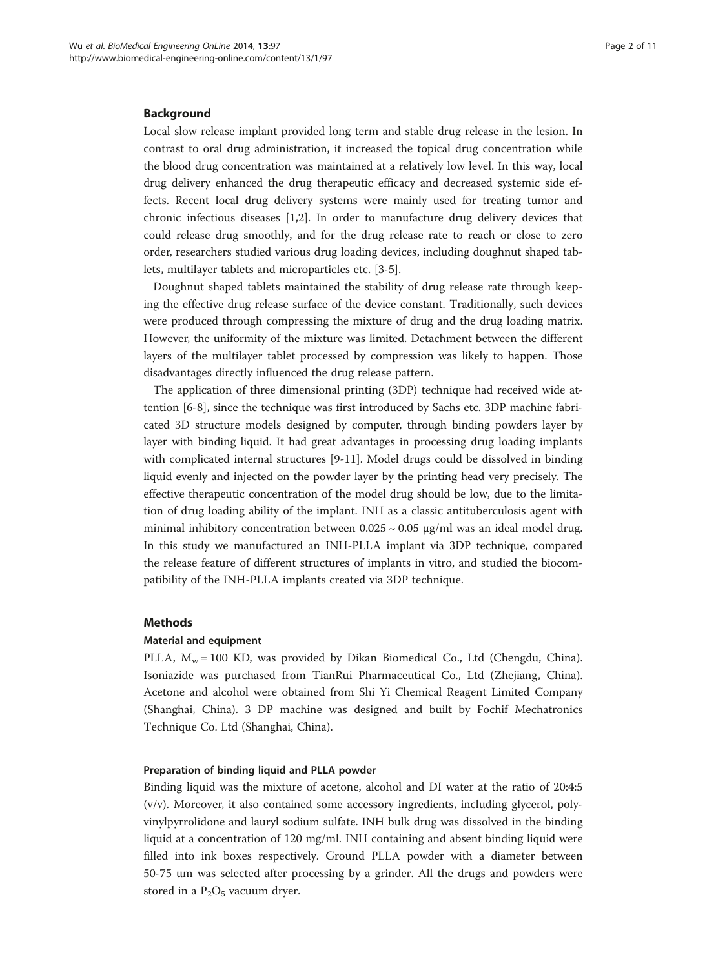#### Background

Local slow release implant provided long term and stable drug release in the lesion. In contrast to oral drug administration, it increased the topical drug concentration while the blood drug concentration was maintained at a relatively low level. In this way, local drug delivery enhanced the drug therapeutic efficacy and decreased systemic side effects. Recent local drug delivery systems were mainly used for treating tumor and chronic infectious diseases [\[1,2](#page-10-0)]. In order to manufacture drug delivery devices that could release drug smoothly, and for the drug release rate to reach or close to zero order, researchers studied various drug loading devices, including doughnut shaped tablets, multilayer tablets and microparticles etc. [[3-5](#page-10-0)].

Doughnut shaped tablets maintained the stability of drug release rate through keeping the effective drug release surface of the device constant. Traditionally, such devices were produced through compressing the mixture of drug and the drug loading matrix. However, the uniformity of the mixture was limited. Detachment between the different layers of the multilayer tablet processed by compression was likely to happen. Those disadvantages directly influenced the drug release pattern.

The application of three dimensional printing (3DP) technique had received wide attention [\[6-8](#page-10-0)], since the technique was first introduced by Sachs etc. 3DP machine fabricated 3D structure models designed by computer, through binding powders layer by layer with binding liquid. It had great advantages in processing drug loading implants with complicated internal structures [[9-11\]](#page-10-0). Model drugs could be dissolved in binding liquid evenly and injected on the powder layer by the printing head very precisely. The effective therapeutic concentration of the model drug should be low, due to the limitation of drug loading ability of the implant. INH as a classic antituberculosis agent with minimal inhibitory concentration between  $0.025 \sim 0.05 \mu g/ml$  was an ideal model drug. In this study we manufactured an INH-PLLA implant via 3DP technique, compared the release feature of different structures of implants in vitro, and studied the biocompatibility of the INH-PLLA implants created via 3DP technique.

#### Methods

#### Material and equipment

PLLA,  $M_w = 100$  KD, was provided by Dikan Biomedical Co., Ltd (Chengdu, China). Isoniazide was purchased from TianRui Pharmaceutical Co., Ltd (Zhejiang, China). Acetone and alcohol were obtained from Shi Yi Chemical Reagent Limited Company (Shanghai, China). 3 DP machine was designed and built by Fochif Mechatronics Technique Co. Ltd (Shanghai, China).

#### Preparation of binding liquid and PLLA powder

Binding liquid was the mixture of acetone, alcohol and DI water at the ratio of 20:4:5  $(v/v)$ . Moreover, it also contained some accessory ingredients, including glycerol, polyvinylpyrrolidone and lauryl sodium sulfate. INH bulk drug was dissolved in the binding liquid at a concentration of 120 mg/ml. INH containing and absent binding liquid were filled into ink boxes respectively. Ground PLLA powder with a diameter between 50-75 um was selected after processing by a grinder. All the drugs and powders were stored in a  $P_2O_5$  vacuum dryer.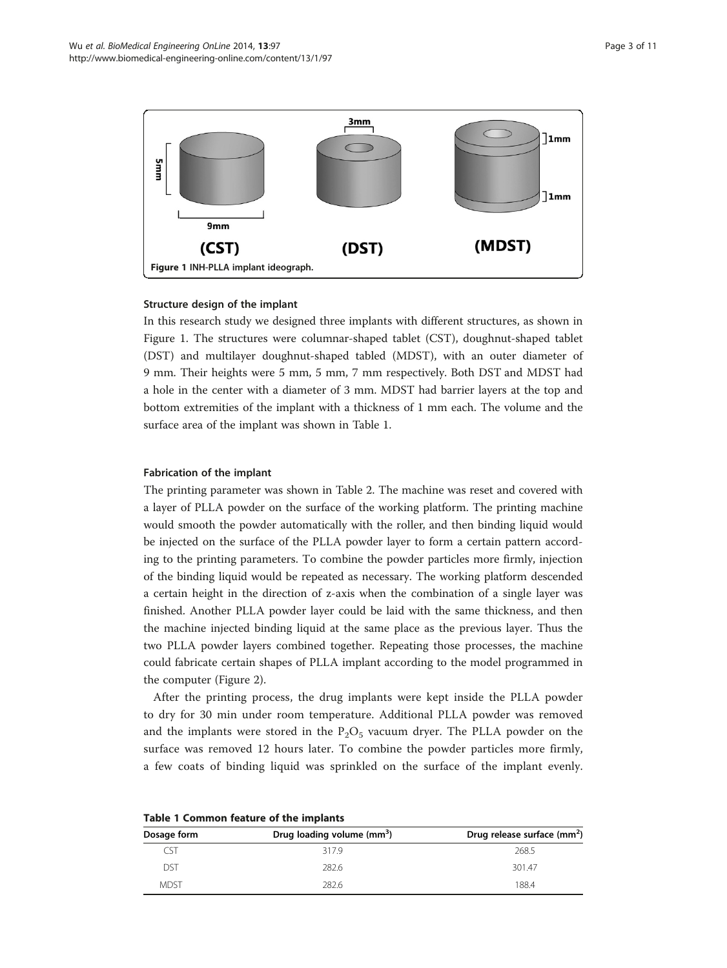

# Structure design of the implant

In this research study we designed three implants with different structures, as shown in Figure 1. The structures were columnar-shaped tablet (CST), doughnut-shaped tablet (DST) and multilayer doughnut-shaped tabled (MDST), with an outer diameter of 9 mm. Their heights were 5 mm, 5 mm, 7 mm respectively. Both DST and MDST had a hole in the center with a diameter of 3 mm. MDST had barrier layers at the top and bottom extremities of the implant with a thickness of 1 mm each. The volume and the surface area of the implant was shown in Table 1.

## Fabrication of the implant

The printing parameter was shown in Table [2](#page-3-0). The machine was reset and covered with a layer of PLLA powder on the surface of the working platform. The printing machine would smooth the powder automatically with the roller, and then binding liquid would be injected on the surface of the PLLA powder layer to form a certain pattern according to the printing parameters. To combine the powder particles more firmly, injection of the binding liquid would be repeated as necessary. The working platform descended a certain height in the direction of z-axis when the combination of a single layer was finished. Another PLLA powder layer could be laid with the same thickness, and then the machine injected binding liquid at the same place as the previous layer. Thus the two PLLA powder layers combined together. Repeating those processes, the machine could fabricate certain shapes of PLLA implant according to the model programmed in the computer (Figure [2\)](#page-3-0).

After the printing process, the drug implants were kept inside the PLLA powder to dry for 30 min under room temperature. Additional PLLA powder was removed and the implants were stored in the  $P_2O_5$  vacuum dryer. The PLLA powder on the surface was removed 12 hours later. To combine the powder particles more firmly, a few coats of binding liquid was sprinkled on the surface of the implant evenly.

| Dosage form | Drug loading volume (mm <sup>3</sup> ) | Drug release surface (mm <sup>2</sup> ) |
|-------------|----------------------------------------|-----------------------------------------|
|             | 317.9                                  | 268.5                                   |
| DST         | 282.6                                  | 301.47                                  |
| <b>MDST</b> | 282.6                                  | 188.4                                   |

Table 1 Common feature of the implants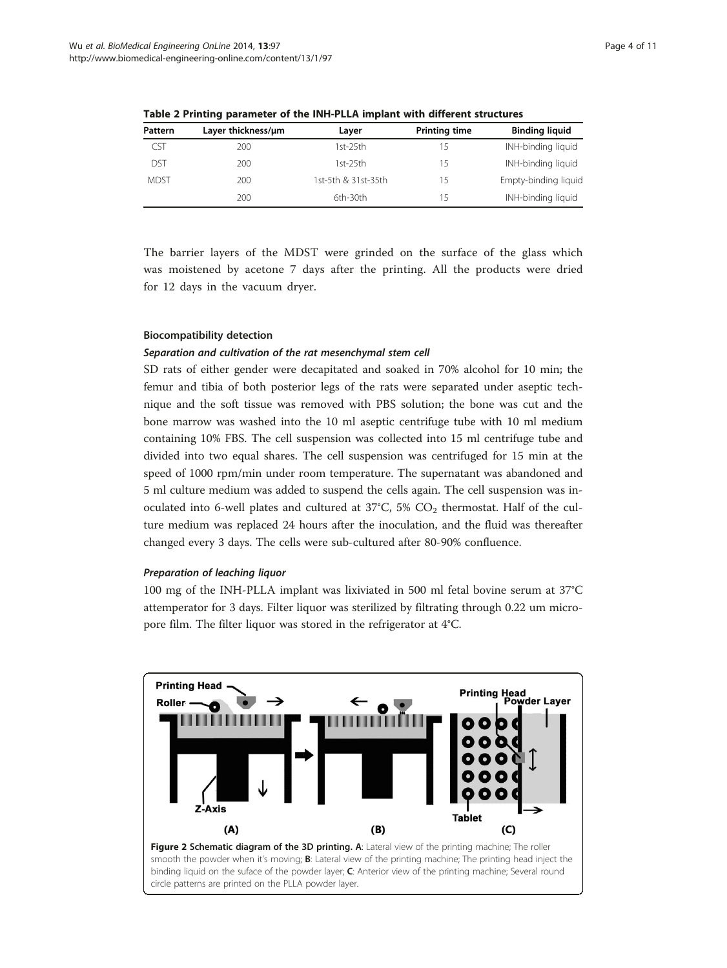| Pattern     | Layer thickness/um | Layer               | <b>Printing time</b> | <b>Binding liquid</b> |
|-------------|--------------------|---------------------|----------------------|-----------------------|
| CST         | 200                | $1st-25th$          | ל ו                  | INH-binding liquid    |
| <b>DST</b>  | 200                | $1st-25th$          | 15                   | INH-binding liquid    |
| <b>MDST</b> | 200                | 1st-5th & 31st-35th | 15                   | Empty-binding liquid  |
|             | 200                | $6th-30th$          | 15                   | INH-binding liquid    |

<span id="page-3-0"></span>Table 2 Printing parameter of the INH-PLLA implant with different structures

The barrier layers of the MDST were grinded on the surface of the glass which was moistened by acetone 7 days after the printing. All the products were dried for 12 days in the vacuum dryer.

# Biocompatibility detection

# Separation and cultivation of the rat mesenchymal stem cell

SD rats of either gender were decapitated and soaked in 70% alcohol for 10 min; the femur and tibia of both posterior legs of the rats were separated under aseptic technique and the soft tissue was removed with PBS solution; the bone was cut and the bone marrow was washed into the 10 ml aseptic centrifuge tube with 10 ml medium containing 10% FBS. The cell suspension was collected into 15 ml centrifuge tube and divided into two equal shares. The cell suspension was centrifuged for 15 min at the speed of 1000 rpm/min under room temperature. The supernatant was abandoned and 5 ml culture medium was added to suspend the cells again. The cell suspension was inoculated into 6-well plates and cultured at  $37^{\circ}$ C,  $5\%$  CO<sub>2</sub> thermostat. Half of the culture medium was replaced 24 hours after the inoculation, and the fluid was thereafter changed every 3 days. The cells were sub-cultured after 80-90% confluence.

#### Preparation of leaching liquor

100 mg of the INH-PLLA implant was lixiviated in 500 ml fetal bovine serum at 37°C attemperator for 3 days. Filter liquor was sterilized by filtrating through 0.22 um micropore film. The filter liquor was stored in the refrigerator at 4°C.

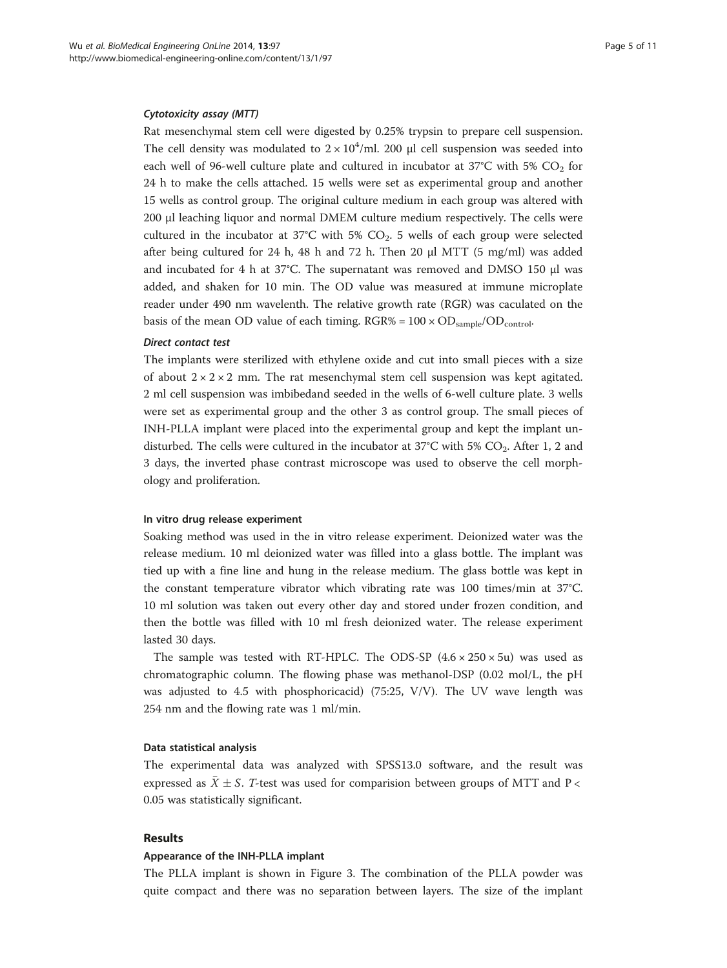#### Cytotoxicity assay (MTT)

Rat mesenchymal stem cell were digested by 0.25% trypsin to prepare cell suspension. The cell density was modulated to  $2 \times 10^4$ /ml. 200 µl cell suspension was seeded into each well of 96-well culture plate and cultured in incubator at  $37^{\circ}$ C with  $5\%$  CO<sub>2</sub> for 24 h to make the cells attached. 15 wells were set as experimental group and another 15 wells as control group. The original culture medium in each group was altered with 200 μl leaching liquor and normal DMEM culture medium respectively. The cells were cultured in the incubator at  $37^{\circ}$ C with  $5\%$  CO<sub>2</sub>. 5 wells of each group were selected after being cultured for 24 h, 48 h and 72 h. Then 20 μl MTT (5 mg/ml) was added and incubated for 4 h at 37°C. The supernatant was removed and DMSO 150 μl was added, and shaken for 10 min. The OD value was measured at immune microplate reader under 490 nm wavelenth. The relative growth rate (RGR) was caculated on the basis of the mean OD value of each timing.  $RGR% = 100 \times OD_{sample}/OD_{control}$ .

#### Direct contact test

The implants were sterilized with ethylene oxide and cut into small pieces with a size of about  $2 \times 2 \times 2$  mm. The rat mesenchymal stem cell suspension was kept agitated. 2 ml cell suspension was imbibedand seeded in the wells of 6-well culture plate. 3 wells were set as experimental group and the other 3 as control group. The small pieces of INH-PLLA implant were placed into the experimental group and kept the implant undisturbed. The cells were cultured in the incubator at  $37^{\circ}$ C with 5% CO<sub>2</sub>. After 1, 2 and 3 days, the inverted phase contrast microscope was used to observe the cell morphology and proliferation.

#### In vitro drug release experiment

Soaking method was used in the in vitro release experiment. Deionized water was the release medium. 10 ml deionized water was filled into a glass bottle. The implant was tied up with a fine line and hung in the release medium. The glass bottle was kept in the constant temperature vibrator which vibrating rate was 100 times/min at 37°C. 10 ml solution was taken out every other day and stored under frozen condition, and then the bottle was filled with 10 ml fresh deionized water. The release experiment lasted 30 days.

The sample was tested with RT-HPLC. The ODS-SP  $(4.6 \times 250 \times 5u)$  was used as chromatographic column. The flowing phase was methanol-DSP (0.02 mol/L, the pH was adjusted to 4.5 with phosphoricacid) (75:25, V/V). The UV wave length was 254 nm and the flowing rate was 1 ml/min.

#### Data statistical analysis

The experimental data was analyzed with SPSS13.0 software, and the result was expressed as  $\bar{X} \pm S$ . T-test was used for comparision between groups of MTT and P < 0.05 was statistically significant.

#### Results

#### Appearance of the INH-PLLA implant

The PLLA implant is shown in Figure [3](#page-5-0). The combination of the PLLA powder was quite compact and there was no separation between layers. The size of the implant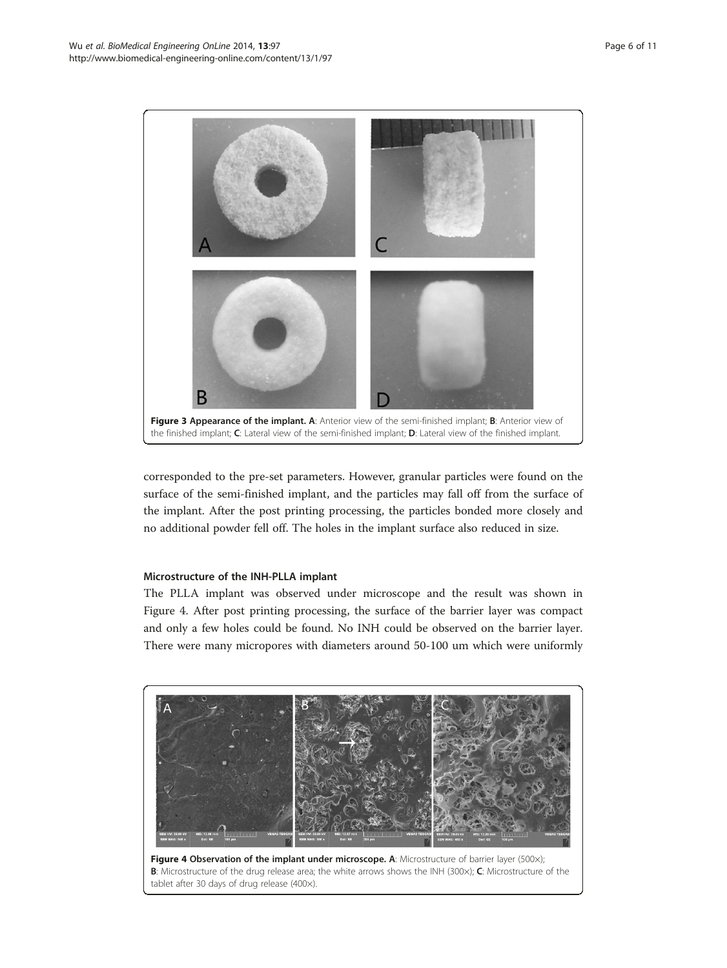<span id="page-5-0"></span>

corresponded to the pre-set parameters. However, granular particles were found on the surface of the semi-finished implant, and the particles may fall off from the surface of the implant. After the post printing processing, the particles bonded more closely and no additional powder fell off. The holes in the implant surface also reduced in size.

# Microstructure of the INH-PLLA implant

The PLLA implant was observed under microscope and the result was shown in Figure 4. After post printing processing, the surface of the barrier layer was compact and only a few holes could be found. No INH could be observed on the barrier layer. There were many micropores with diameters around 50-100 um which were uniformly



Figure 4 Observation of the implant under microscope. A: Microstructure of barrier layer (500x); B: Microstructure of the drug release area; the white arrows shows the INH (300x); C: Microstructure of the tablet after 30 days of drug release (400×).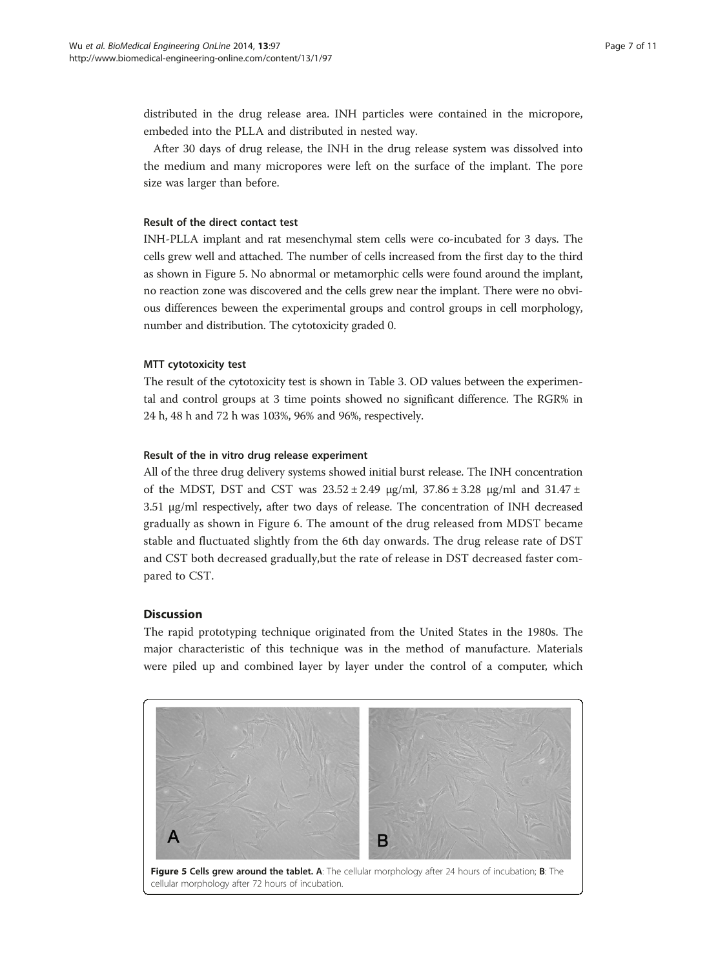distributed in the drug release area. INH particles were contained in the micropore, embeded into the PLLA and distributed in nested way.

After 30 days of drug release, the INH in the drug release system was dissolved into the medium and many micropores were left on the surface of the implant. The pore size was larger than before.

# Result of the direct contact test

INH-PLLA implant and rat mesenchymal stem cells were co-incubated for 3 days. The cells grew well and attached. The number of cells increased from the first day to the third as shown in Figure 5. No abnormal or metamorphic cells were found around the implant, no reaction zone was discovered and the cells grew near the implant. There were no obvious differences beween the experimental groups and control groups in cell morphology, number and distribution. The cytotoxicity graded 0.

#### MTT cytotoxicity test

The result of the cytotoxicity test is shown in Table [3.](#page-7-0) OD values between the experimental and control groups at 3 time points showed no significant difference. The RGR% in 24 h, 48 h and 72 h was 103%, 96% and 96%, respectively.

# Result of the in vitro drug release experiment

All of the three drug delivery systems showed initial burst release. The INH concentration of the MDST, DST and CST was  $23.52 \pm 2.49$   $\mu$ g/ml,  $37.86 \pm 3.28$   $\mu$ g/ml and  $31.47 \pm 1.62$ 3.51 μg/ml respectively, after two days of release. The concentration of INH decreased gradually as shown in Figure [6.](#page-7-0) The amount of the drug released from MDST became stable and fluctuated slightly from the 6th day onwards. The drug release rate of DST and CST both decreased gradually,but the rate of release in DST decreased faster compared to CST.

# **Discussion**

The rapid prototyping technique originated from the United States in the 1980s. The major characteristic of this technique was in the method of manufacture. Materials were piled up and combined layer by layer under the control of a computer, which

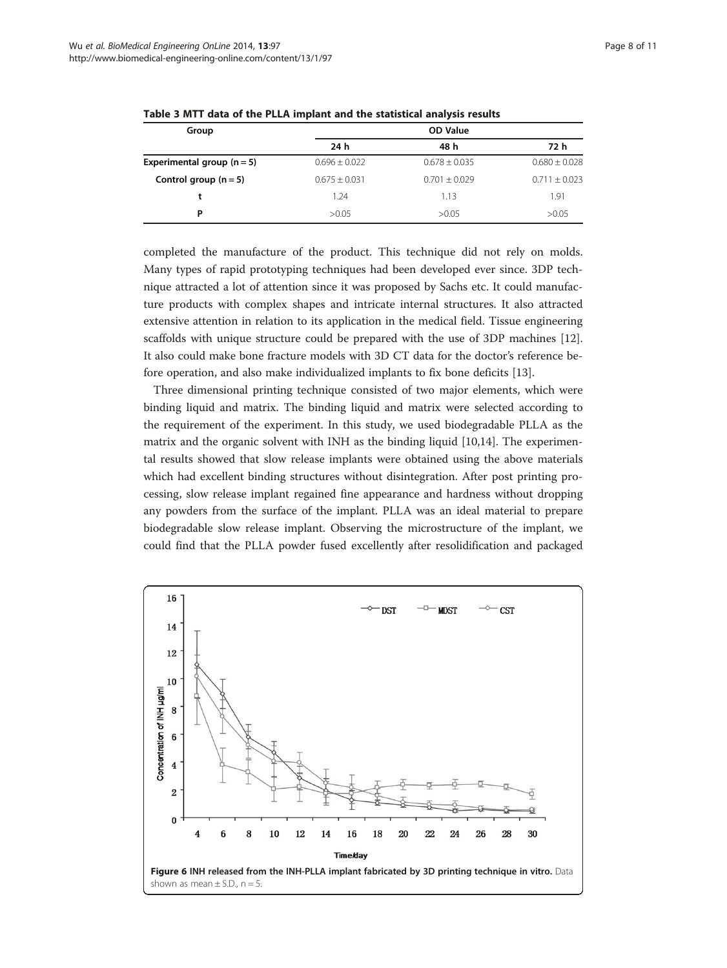| Group                        | <b>OD Value</b>   |                   |                 |  |
|------------------------------|-------------------|-------------------|-----------------|--|
|                              | 24 h              | 48 h              | 72 h            |  |
| Experimental group $(n = 5)$ | $0.696 + 0.022$   | $0.678 + 0.035$   | $0.680 + 0.028$ |  |
| Control group $(n = 5)$      | $0.675 \pm 0.031$ | $0.701 \pm 0.029$ | $0.711 + 0.023$ |  |
|                              | 1.24              | 1.13              | 1.91            |  |
| D                            | >0.05             | >0.05             | >0.05           |  |

<span id="page-7-0"></span>Table 3 MTT data of the PLLA implant and the statistical analysis results

completed the manufacture of the product. This technique did not rely on molds. Many types of rapid prototyping techniques had been developed ever since. 3DP technique attracted a lot of attention since it was proposed by Sachs etc. It could manufacture products with complex shapes and intricate internal structures. It also attracted extensive attention in relation to its application in the medical field. Tissue engineering scaffolds with unique structure could be prepared with the use of 3DP machines [[12](#page-10-0)]. It also could make bone fracture models with 3D CT data for the doctor's reference before operation, and also make individualized implants to fix bone deficits [[13\]](#page-10-0).

Three dimensional printing technique consisted of two major elements, which were binding liquid and matrix. The binding liquid and matrix were selected according to the requirement of the experiment. In this study, we used biodegradable PLLA as the matrix and the organic solvent with INH as the binding liquid [\[10,14](#page-10-0)]. The experimental results showed that slow release implants were obtained using the above materials which had excellent binding structures without disintegration. After post printing processing, slow release implant regained fine appearance and hardness without dropping any powders from the surface of the implant. PLLA was an ideal material to prepare biodegradable slow release implant. Observing the microstructure of the implant, we could find that the PLLA powder fused excellently after resolidification and packaged

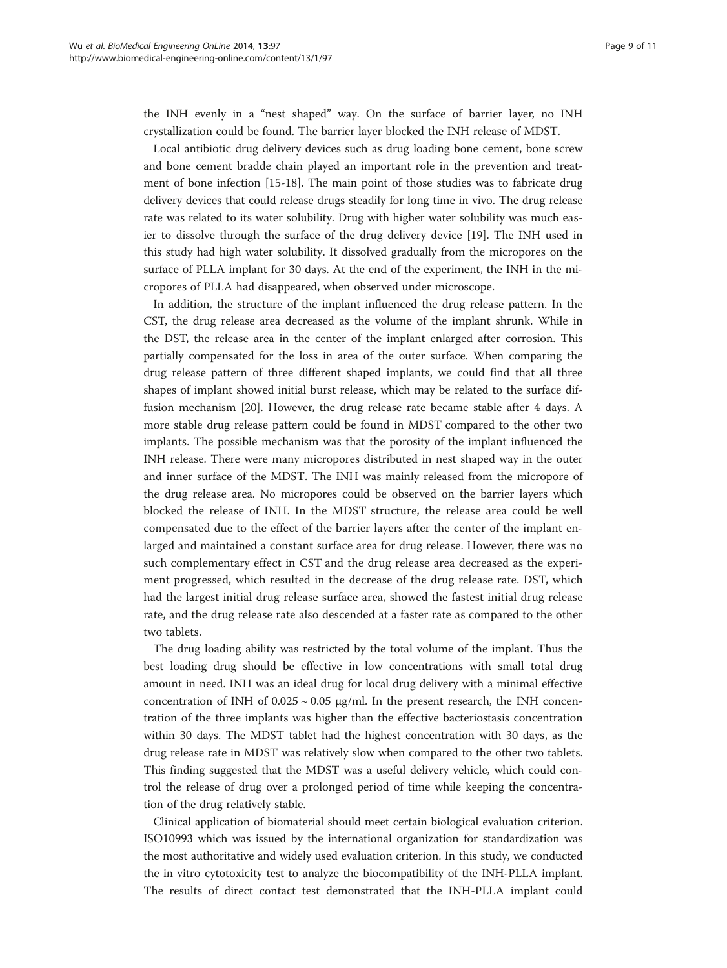the INH evenly in a "nest shaped" way. On the surface of barrier layer, no INH crystallization could be found. The barrier layer blocked the INH release of MDST.

Local antibiotic drug delivery devices such as drug loading bone cement, bone screw and bone cement bradde chain played an important role in the prevention and treatment of bone infection [\[15](#page-10-0)-[18\]](#page-10-0). The main point of those studies was to fabricate drug delivery devices that could release drugs steadily for long time in vivo. The drug release rate was related to its water solubility. Drug with higher water solubility was much easier to dissolve through the surface of the drug delivery device [[19\]](#page-10-0). The INH used in this study had high water solubility. It dissolved gradually from the micropores on the surface of PLLA implant for 30 days. At the end of the experiment, the INH in the micropores of PLLA had disappeared, when observed under microscope.

In addition, the structure of the implant influenced the drug release pattern. In the CST, the drug release area decreased as the volume of the implant shrunk. While in the DST, the release area in the center of the implant enlarged after corrosion. This partially compensated for the loss in area of the outer surface. When comparing the drug release pattern of three different shaped implants, we could find that all three shapes of implant showed initial burst release, which may be related to the surface diffusion mechanism [[20](#page-10-0)]. However, the drug release rate became stable after 4 days. A more stable drug release pattern could be found in MDST compared to the other two implants. The possible mechanism was that the porosity of the implant influenced the INH release. There were many micropores distributed in nest shaped way in the outer and inner surface of the MDST. The INH was mainly released from the micropore of the drug release area. No micropores could be observed on the barrier layers which blocked the release of INH. In the MDST structure, the release area could be well compensated due to the effect of the barrier layers after the center of the implant enlarged and maintained a constant surface area for drug release. However, there was no such complementary effect in CST and the drug release area decreased as the experiment progressed, which resulted in the decrease of the drug release rate. DST, which had the largest initial drug release surface area, showed the fastest initial drug release rate, and the drug release rate also descended at a faster rate as compared to the other two tablets.

The drug loading ability was restricted by the total volume of the implant. Thus the best loading drug should be effective in low concentrations with small total drug amount in need. INH was an ideal drug for local drug delivery with a minimal effective concentration of INH of  $0.025 \sim 0.05$   $\mu$ g/ml. In the present research, the INH concentration of the three implants was higher than the effective bacteriostasis concentration within 30 days. The MDST tablet had the highest concentration with 30 days, as the drug release rate in MDST was relatively slow when compared to the other two tablets. This finding suggested that the MDST was a useful delivery vehicle, which could control the release of drug over a prolonged period of time while keeping the concentration of the drug relatively stable.

Clinical application of biomaterial should meet certain biological evaluation criterion. ISO10993 which was issued by the international organization for standardization was the most authoritative and widely used evaluation criterion. In this study, we conducted the in vitro cytotoxicity test to analyze the biocompatibility of the INH-PLLA implant. The results of direct contact test demonstrated that the INH-PLLA implant could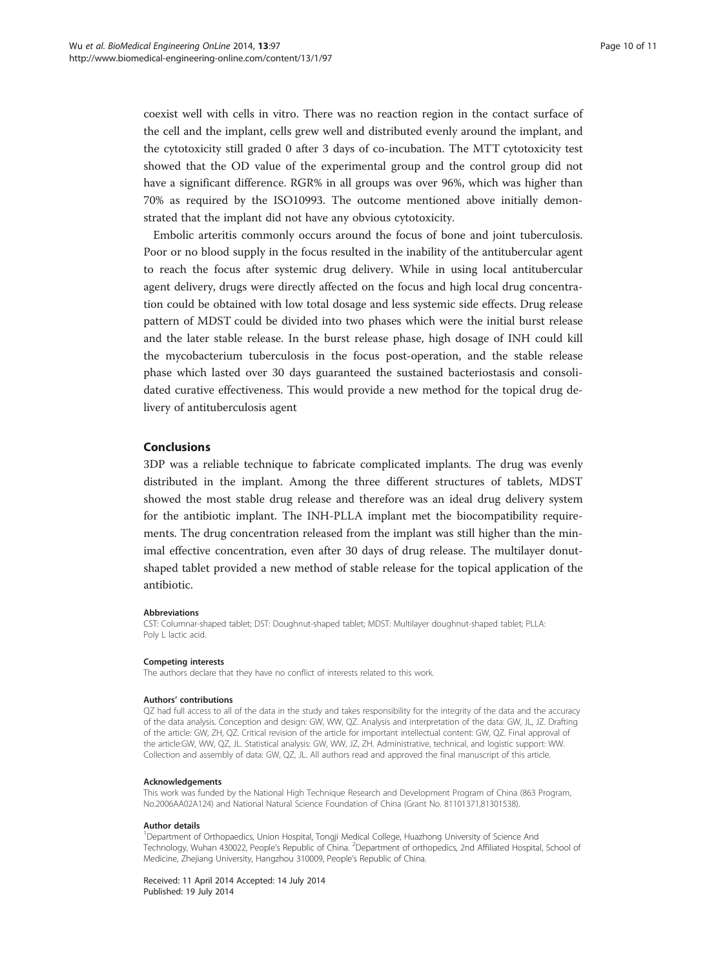coexist well with cells in vitro. There was no reaction region in the contact surface of the cell and the implant, cells grew well and distributed evenly around the implant, and the cytotoxicity still graded 0 after 3 days of co-incubation. The MTT cytotoxicity test showed that the OD value of the experimental group and the control group did not have a significant difference. RGR% in all groups was over 96%, which was higher than 70% as required by the ISO10993. The outcome mentioned above initially demonstrated that the implant did not have any obvious cytotoxicity.

Embolic arteritis commonly occurs around the focus of bone and joint tuberculosis. Poor or no blood supply in the focus resulted in the inability of the antitubercular agent to reach the focus after systemic drug delivery. While in using local antitubercular agent delivery, drugs were directly affected on the focus and high local drug concentration could be obtained with low total dosage and less systemic side effects. Drug release pattern of MDST could be divided into two phases which were the initial burst release and the later stable release. In the burst release phase, high dosage of INH could kill the mycobacterium tuberculosis in the focus post-operation, and the stable release phase which lasted over 30 days guaranteed the sustained bacteriostasis and consolidated curative effectiveness. This would provide a new method for the topical drug delivery of antituberculosis agent

# Conclusions

3DP was a reliable technique to fabricate complicated implants. The drug was evenly distributed in the implant. Among the three different structures of tablets, MDST showed the most stable drug release and therefore was an ideal drug delivery system for the antibiotic implant. The INH-PLLA implant met the biocompatibility requirements. The drug concentration released from the implant was still higher than the minimal effective concentration, even after 30 days of drug release. The multilayer donutshaped tablet provided a new method of stable release for the topical application of the antibiotic.

#### Abbreviations

CST: Columnar-shaped tablet; DST: Doughnut-shaped tablet; MDST: Multilayer doughnut-shaped tablet; PLLA: Poly L lactic acid.

#### Competing interests

The authors declare that they have no conflict of interests related to this work.

#### Authors' contributions

QZ had full access to all of the data in the study and takes responsibility for the integrity of the data and the accuracy of the data analysis. Conception and design: GW, WW, QZ. Analysis and interpretation of the data: GW, JL, JZ. Drafting of the article: GW, ZH, QZ. Critical revision of the article for important intellectual content: GW, QZ. Final approval of the article:GW, WW, QZ, JL. Statistical analysis: GW, WW, JZ, ZH. Administrative, technical, and logistic support: WW. Collection and assembly of data: GW, QZ, JL. All authors read and approved the final manuscript of this article.

#### Acknowledgements

This work was funded by the National High Technique Research and Development Program of China (863 Program, No.2006AA02A124) and National Natural Science Foundation of China (Grant No. 81101371,81301538).

#### Author details

<sup>1</sup>Department of Orthopaedics, Union Hospital, Tongji Medical College, Huazhong University of Science And Technology, Wuhan 430022, People's Republic of China. <sup>2</sup>Department of orthopedics, 2nd Affiliated Hospital, School of Medicine, Zhejiang University, Hangzhou 310009, People's Republic of China.

Received: 11 April 2014 Accepted: 14 July 2014 Published: 19 July 2014